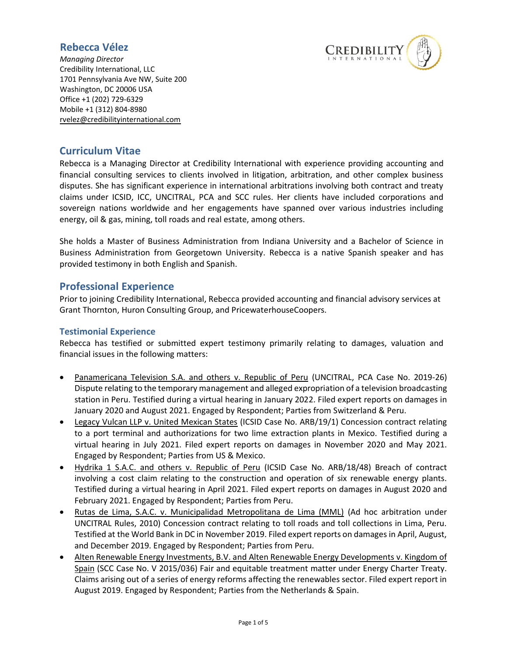

*Managing Director* Credibility International, LLC 1701 Pennsylvania Ave NW, Suite 200 Washington, DC 20006 USA Office +1 (202) 729-6329 Mobile +1 (312) 804-8980 rvele[z@credibilityinternational.com](mailto:email@credibilityinternational.com)

## **Curriculum Vitae**

Rebecca is a Managing Director at Credibility International with experience providing accounting and financial consulting services to clients involved in litigation, arbitration, and other complex business disputes. She has significant experience in international arbitrations involving both contract and treaty claims under ICSID, ICC, UNCITRAL, PCA and SCC rules. Her clients have included corporations and sovereign nations worldwide and her engagements have spanned over various industries including energy, oil & gas, mining, toll roads and real estate, among others.

She holds a Master of Business Administration from Indiana University and a Bachelor of Science in Business Administration from Georgetown University. Rebecca is a native Spanish speaker and has provided testimony in both English and Spanish.

## **Professional Experience**

Prior to joining Credibility International, Rebecca provided accounting and financial advisory services at Grant Thornton, Huron Consulting Group, and PricewaterhouseCoopers.

### **Testimonial Experience**

Rebecca has testified or submitted expert testimony primarily relating to damages, valuation and financial issues in the following matters:

- Panamericana Television S.A. and others v. Republic of Peru (UNCITRAL, PCA Case No. 2019-26) Dispute relating to the temporary management and alleged expropriation of a television broadcasting station in Peru. Testified during a virtual hearing in January 2022. Filed expert reports on damages in January 2020 and August 2021. Engaged by Respondent; Parties from Switzerland & Peru.
- Legacy Vulcan LLP v. United Mexican States (ICSID Case No. ARB/19/1) Concession contract relating to a port terminal and authorizations for two lime extraction plants in Mexico. Testified during a virtual hearing in July 2021. Filed expert reports on damages in November 2020 and May 2021. Engaged by Respondent; Parties from US & Mexico.
- Hydrika 1 S.A.C. and others v. Republic of Peru (ICSID Case No. ARB/18/48) Breach of contract involving a cost claim relating to the construction and operation of six renewable energy plants. Testified during a virtual hearing in April 2021. Filed expert reports on damages in August 2020 and February 2021. Engaged by Respondent; Parties from Peru.
- Rutas de Lima, S.A.C. v. Municipalidad Metropolitana de Lima (MML) (Ad hoc arbitration under UNCITRAL Rules, 2010) Concession contract relating to toll roads and toll collections in Lima, Peru. Testified at the World Bank in DC in November 2019. Filed expert reports on damages in April, August, and December 2019. Engaged by Respondent; Parties from Peru.
- Alten Renewable Energy Investments, B.V. and Alten Renewable Energy Developments v. Kingdom of Spain (SCC Case No. V 2015/036) Fair and equitable treatment matter under Energy Charter Treaty. Claims arising out of a series of energy reforms affecting the renewables sector. Filed expert report in August 2019. Engaged by Respondent; Parties from the Netherlands & Spain.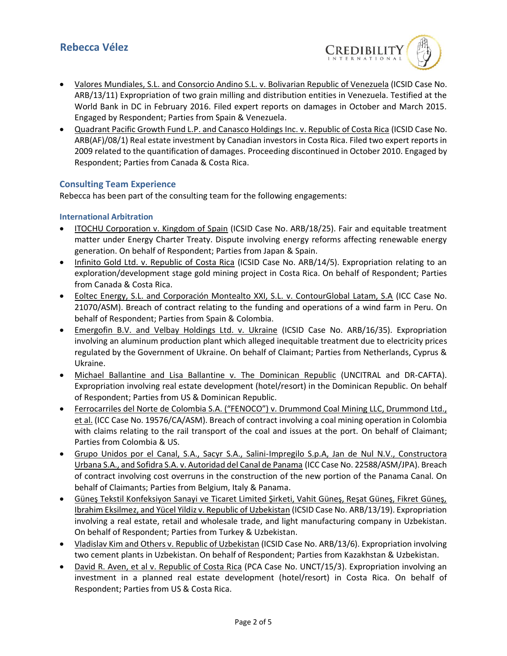

- Valores Mundiales, S.L. and Consorcio Andino S.L. v. Bolivarian Republic of Venezuela (ICSID Case No. ARB/13/11) Expropriation of two grain milling and distribution entities in Venezuela. Testified at the World Bank in DC in February 2016. Filed expert reports on damages in October and March 2015. Engaged by Respondent; Parties from Spain & Venezuela.
- Quadrant Pacific Growth Fund L.P. and Canasco Holdings Inc. v. Republic of Costa Rica (ICSID Case No. ARB(AF)/08/1) Real estate investment by Canadian investors in Costa Rica. Filed two expert reports in 2009 related to the quantification of damages. Proceeding discontinued in October 2010. Engaged by Respondent; Parties from Canada & Costa Rica.

### **Consulting Team Experience**

Rebecca has been part of the consulting team for the following engagements:

#### **International Arbitration**

- ITOCHU Corporation v. Kingdom of Spain (ICSID Case No. ARB/18/25). Fair and equitable treatment matter under Energy Charter Treaty. Dispute involving energy reforms affecting renewable energy generation. On behalf of Respondent; Parties from Japan & Spain.
- Infinito Gold Ltd. v. Republic of Costa Rica (ICSID Case No. ARB/14/5). Expropriation relating to an exploration/development stage gold mining project in Costa Rica. On behalf of Respondent; Parties from Canada & Costa Rica.
- Eoltec Energy, S.L. and Corporación Montealto XXI, S.L. v. ContourGlobal Latam, S.A (ICC Case No. 21070/ASM). Breach of contract relating to the funding and operations of a wind farm in Peru. On behalf of Respondent; Parties from Spain & Colombia.
- Emergofin B.V. and Velbay Holdings Ltd. v. Ukraine (ICSID Case No. ARB/16/35). Expropriation involving an aluminum production plant which alleged inequitable treatment due to electricity prices regulated by the Government of Ukraine. On behalf of Claimant; Parties from Netherlands, Cyprus & Ukraine.
- Michael Ballantine and Lisa Ballantine v. The Dominican Republic (UNCITRAL and DR-CAFTA). Expropriation involving real estate development (hotel/resort) in the Dominican Republic. On behalf of Respondent; Parties from US & Dominican Republic.
- Ferrocarriles del Norte de Colombia S.A. ("FENOCO") v. Drummond Coal Mining LLC, Drummond Ltd., et al. (ICC Case No. 19576/CA/ASM). Breach of contract involving a coal mining operation in Colombia with claims relating to the rail transport of the coal and issues at the port. On behalf of Claimant; Parties from Colombia & US.
- Grupo Unidos por el Canal, S.A., Sacyr S.A., Salini-Impregilo S.p.A, Jan de Nul N.V., Constructora Urbana S.A., and Sofidra S.A. v. Autoridad del Canal de Panama (ICC Case No. 22588/ASM/JPA). Breach of contract involving cost overruns in the construction of the new portion of the Panama Canal. On behalf of Claimants; Parties from Belgium, Italy & Panama.
- Güneş Tekstil Konfeksiyon Sanayi ve Ticaret Limited Şirketi, Vahit Güneş, Reşat Güneş, Fikret Güneş, Ibrahim Eksilmez, and Yücel Yildiz v. Republic of Uzbekistan (ICSID Case No. ARB/13/19). Expropriation involving a real estate, retail and wholesale trade, and light manufacturing company in Uzbekistan. On behalf of Respondent; Parties from Turkey & Uzbekistan.
- Vladislav Kim and Others v. Republic of Uzbekistan (ICSID Case No. ARB/13/6). Expropriation involving two cement plants in Uzbekistan. On behalf of Respondent; Parties from Kazakhstan & Uzbekistan.
- David R. Aven, et al v. Republic of Costa Rica (PCA Case No. UNCT/15/3). Expropriation involving an investment in a planned real estate development (hotel/resort) in Costa Rica. On behalf of Respondent; Parties from US & Costa Rica.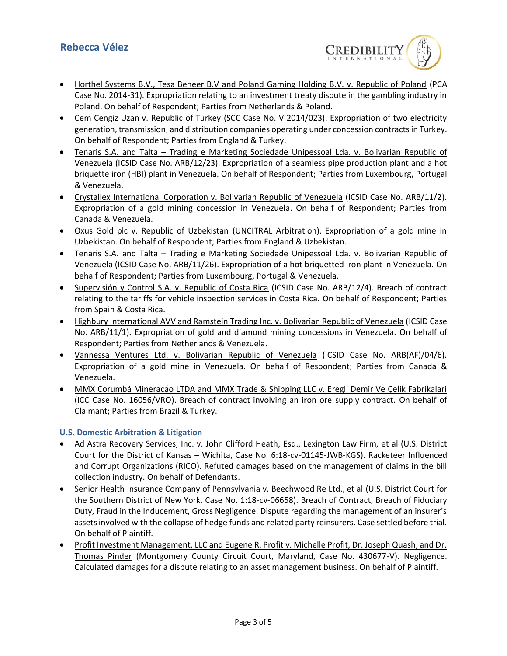

- Horthel Systems B.V., Tesa Beheer B.V and Poland Gaming Holding B.V. v. Republic of Poland (PCA Case No. 2014-31). Expropriation relating to an investment treaty dispute in the gambling industry in Poland. On behalf of Respondent; Parties from Netherlands & Poland.
- Cem Cengiz Uzan v. Republic of Turkey (SCC Case No. V 2014/023). Expropriation of two electricity generation, transmission, and distribution companies operating under concession contracts in Turkey. On behalf of Respondent; Parties from England & Turkey.
- Tenaris S.A. and Talta Trading e Marketing Sociedade Unipessoal Lda. v. Bolivarian Republic of Venezuela (ICSID Case No. ARB/12/23). Expropriation of a seamless pipe production plant and a hot briquette iron (HBI) plant in Venezuela. On behalf of Respondent; Parties from Luxembourg, Portugal & Venezuela.
- Crystallex International Corporation v. Bolivarian Republic of Venezuela (ICSID Case No. ARB/11/2). Expropriation of a gold mining concession in Venezuela. On behalf of Respondent; Parties from Canada & Venezuela.
- Oxus Gold plc v. Republic of Uzbekistan (UNCITRAL Arbitration). Expropriation of a gold mine in Uzbekistan. On behalf of Respondent; Parties from England & Uzbekistan.
- Tenaris S.A. and Talta Trading e Marketing Sociedade Unipessoal Lda. v. Bolivarian Republic of Venezuela (ICSID Case No. ARB/11/26). Expropriation of a hot briquetted iron plant in Venezuela. On behalf of Respondent; Parties from Luxembourg, Portugal & Venezuela.
- Supervisión y Control S.A. v. Republic of Costa Rica (ICSID Case No. ARB/12/4). Breach of contract relating to the tariffs for vehicle inspection services in Costa Rica. On behalf of Respondent; Parties from Spain & Costa Rica.
- Highbury International AVV and Ramstein Trading Inc. v. Bolivarian Republic of Venezuela (ICSID Case No. ARB/11/1). Expropriation of gold and diamond mining concessions in Venezuela. On behalf of Respondent; Parties from Netherlands & Venezuela.
- Vannessa Ventures Ltd. v. Bolivarian Republic of Venezuela (ICSID Case No. ARB(AF)/04/6). Expropriation of a gold mine in Venezuela. On behalf of Respondent; Parties from Canada & Venezuela.
- MMX Corumbá Mineracáo LTDA and MMX Trade & Shipping LLC v. Eregli Demir Ve Çelik Fabrikalari (ICC Case No. 16056/VRO). Breach of contract involving an iron ore supply contract. On behalf of Claimant; Parties from Brazil & Turkey.

#### **U.S. Domestic Arbitration & Litigation**

- Ad Astra Recovery Services, Inc. v. John Clifford Heath, Esq., Lexington Law Firm, et al (U.S. District Court for the District of Kansas – Wichita, Case No. 6:18-cv-01145-JWB-KGS). Racketeer Influenced and Corrupt Organizations (RICO). Refuted damages based on the management of claims in the bill collection industry. On behalf of Defendants.
- Senior Health Insurance Company of Pennsylvania v. Beechwood Re Ltd., et al (U.S. District Court for the Southern District of New York, Case No. 1:18-cv-06658). Breach of Contract, Breach of Fiduciary Duty, Fraud in the Inducement, Gross Negligence. Dispute regarding the management of an insurer's assets involved with the collapse of hedge funds and related party reinsurers. Case settled before trial. On behalf of Plaintiff.
- Profit Investment Management, LLC and Eugene R. Profit v. Michelle Profit, Dr. Joseph Quash, and Dr. Thomas Pinder (Montgomery County Circuit Court, Maryland, Case No. 430677-V). Negligence. Calculated damages for a dispute relating to an asset management business. On behalf of Plaintiff.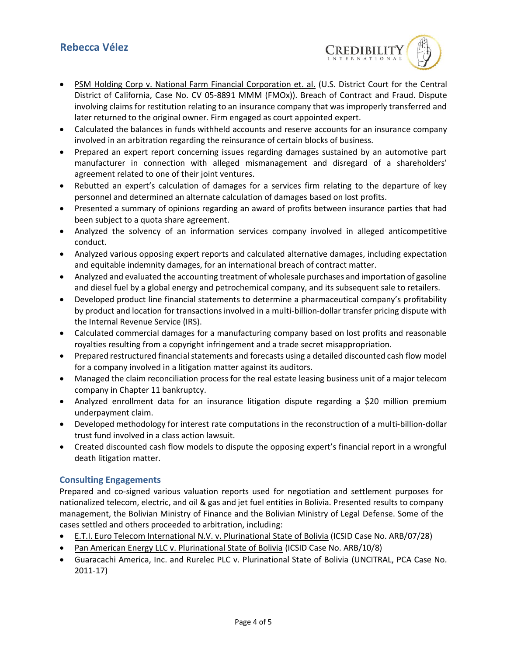

- PSM Holding Corp v. National Farm Financial Corporation et. al. (U.S. District Court for the Central District of California, Case No. CV 05-8891 MMM (FMOx)). Breach of Contract and Fraud. Dispute involving claims for restitution relating to an insurance company that was improperly transferred and later returned to the original owner. Firm engaged as court appointed expert.
- Calculated the balances in funds withheld accounts and reserve accounts for an insurance company involved in an arbitration regarding the reinsurance of certain blocks of business.
- Prepared an expert report concerning issues regarding damages sustained by an automotive part manufacturer in connection with alleged mismanagement and disregard of a shareholders' agreement related to one of their joint ventures.
- Rebutted an expert's calculation of damages for a services firm relating to the departure of key personnel and determined an alternate calculation of damages based on lost profits.
- Presented a summary of opinions regarding an award of profits between insurance parties that had been subject to a quota share agreement.
- Analyzed the solvency of an information services company involved in alleged anticompetitive conduct.
- Analyzed various opposing expert reports and calculated alternative damages, including expectation and equitable indemnity damages, for an international breach of contract matter.
- Analyzed and evaluated the accounting treatment of wholesale purchases and importation of gasoline and diesel fuel by a global energy and petrochemical company, and its subsequent sale to retailers.
- Developed product line financial statements to determine a pharmaceutical company's profitability by product and location for transactions involved in a multi-billion-dollar transfer pricing dispute with the Internal Revenue Service (IRS).
- Calculated commercial damages for a manufacturing company based on lost profits and reasonable royalties resulting from a copyright infringement and a trade secret misappropriation.
- Prepared restructured financial statements and forecasts using a detailed discounted cash flow model for a company involved in a litigation matter against its auditors.
- Managed the claim reconciliation process for the real estate leasing business unit of a major telecom company in Chapter 11 bankruptcy.
- Analyzed enrollment data for an insurance litigation dispute regarding a \$20 million premium underpayment claim.
- Developed methodology for interest rate computations in the reconstruction of a multi-billion-dollar trust fund involved in a class action lawsuit.
- Created discounted cash flow models to dispute the opposing expert's financial report in a wrongful death litigation matter.

### **Consulting Engagements**

Prepared and co-signed various valuation reports used for negotiation and settlement purposes for nationalized telecom, electric, and oil & gas and jet fuel entities in Bolivia. Presented results to company management, the Bolivian Ministry of Finance and the Bolivian Ministry of Legal Defense. Some of the cases settled and others proceeded to arbitration, including:

- E.T.I. Euro Telecom International N.V. v. Plurinational State of Bolivia (ICSID Case No. ARB/07/28)
- Pan American Energy LLC v. Plurinational State of Bolivia (ICSID Case No. ARB/10/8)
- Guaracachi America, Inc. and Rurelec PLC v. Plurinational State of Bolivia (UNCITRAL, PCA Case No. 2011-17)